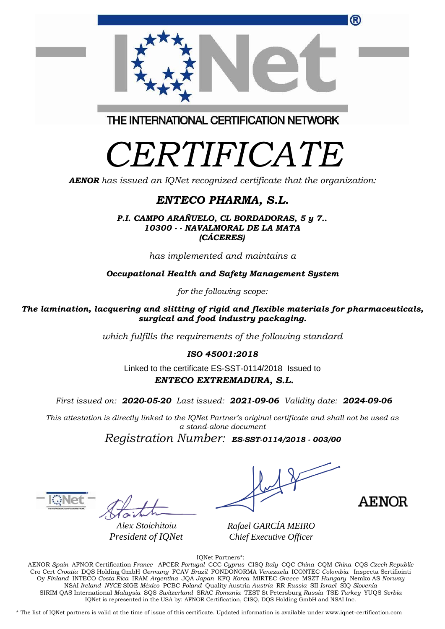| Wachn              |                                                                                                                                                                                                                                                           |  |
|--------------------|-----------------------------------------------------------------------------------------------------------------------------------------------------------------------------------------------------------------------------------------------------------|--|
| Alex Stoichitoiu   | Rafael GARCÍA MEIRO                                                                                                                                                                                                                                       |  |
| President of IQNet | Chief Executive Officer                                                                                                                                                                                                                                   |  |
|                    | IQNet Partners*:<br>$\Lambda$ ENOD $\alpha$ , $\Lambda$ ENOD $\alpha$ , $\alpha$ , $\beta$ , $\beta$ , $\Lambda$ DOED $\beta$ , $\Lambda$ OOO $\alpha$ ,  ODO $\mu$ , $\Lambda$ , OOO $\alpha$ , $\Lambda$ , $\ldots$ OOO $\alpha$ , $\Lambda$ , $\ldots$ |  |

AENOR *Spain* AFNOR Certification *France* APCER *Portugal* CCC *Cyprus* CISQ *Italy* CQC *China* CQM *China* CQS *Czech Republic*  Cro Cert *Croatia* DQS Holding GmbH *Germany* FCAV *Brazil* FONDONORMA *Venezuela* ICONTEC *Colombia* Inspecta Sertifiointi Oy *Finland* INTECO *Costa Rica* IRAM *Argentina* JQA *Japan* KFQ *Korea* MIRTEC *Greece* MSZT *Hungary* Nemko AS *Norway*  NSAI *Ireland NYCE-*SIGE *México* PCBC *Poland* Quality Austria *Austria* RR *Russia* SII *Israel* SIQ *Slovenia*  SIRIM QAS International *Malaysia* SQS *Switzerland* SRAC *Romania* TEST St Petersburg *Russia* TSE *Turkey* YUQS *Serbia* IQNet is represented in the USA by: AFNOR Certification, CISQ, DQS Holding GmbH and NSAI Inc.

\* The list of IQNet partners is valid at the time of issue of this certificate. Updated information is available under www.iqnet-certification.com

THE INTERNATIONAL CERTIFICATION NETWORK

# *CERTIFICATE*

*AENOR has issued an IQNet recognized certificate that the organization:*

### *ENTECO PHARMA, S.L.*

*P.I. CAMPO ARAÑUELO, CL BORDADORAS, 5 y 7.. 10300 - - NAVALMORAL DE LA MATA (CÁCERES)*

*has implemented and maintains a*

*Occupational Health and Safety Management System* 

*for the following scope:* 

*The lamination, lacquering and slitting of rigid and flexible materials for pharmaceuticals, surgical and food industry packaging.*

*which fulfills the requirements of the following standard*

*ISO 45001:2018*

Linked to the certificate ES-SST-0114/2018Issued to *ENTECO EXTREMADURA, S.L.*

*First issued on: 2020-05-20 Last issued: 2021-09-06 Validity date: 2024-09-06*

*This attestation is directly linked to the IQNet Partner's original certificate and shall not be used as a stand-alone document*

*Registration Number: ES-SST-0114/2018 - 003/00*

 $-\overline{\text{W}}$ Net  $-\sqrt{1}$ 

**AENOR** 

 $\sqrt{2}$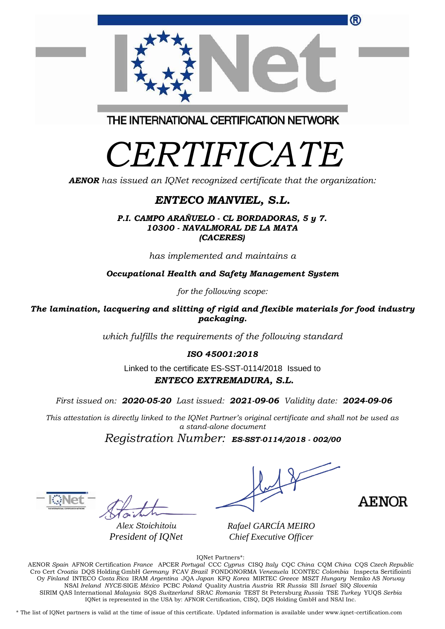| Cro Cert Croatia DOS Holding GmbH Germany FCAV Brazil FONDONORMA Venezuela ICONTEC Colombia Inspecta Sertifiointi |
|-------------------------------------------------------------------------------------------------------------------|
| Oy Finland INTECO Costa Rica IRAM Argentina JOA Japan KFO Korea MIRTEC Greece MSZT Hungary Nemko AS Norway        |
| NSAI Ireland NYCE-SIGE México PCBC Poland Quality Austria Austria RR Russia SII Israel SIQ Slovenia               |
| SIRIM QAS International Malaysia SQS Switzerland SRAC Romania TEST St Petersburg Russia TSE Turkey YUQS Serbia    |
| IONet is represented in the USA by: AFNOR Certification, CISO, DOS Holding GmbH and NSAI Inc.                     |
|                                                                                                                   |

IQNet Partners\*: AENOR *Spain* AFNOR Certification *France* APCER *Portugal* CCC *Cyprus* CISQ *Italy* CQC *China* CQM *China* CQS *Czech Republic* 

THE INTERNATIONAL CERTIFICATION NETWORK

## *CERTIFICATE*

*AENOR has issued an IQNet recognized certificate that the organization:*

#### *ENTECO MANVIEL, S.L.*

*P.I. CAMPO ARAÑUELO - CL BORDADORAS, 5 y 7. 10300 - NAVALMORAL DE LA MATA (CACERES)*

*has implemented and maintains a*

*Occupational Health and Safety Management System* 

*for the following scope:* 

*The lamination, lacquering and slitting of rigid and flexible materials for food industry packaging.*

*which fulfills the requirements of the following standard*

*ISO 45001:2018*

Linked to the certificate ES-SST-0114/2018Issued to *ENTECO EXTREMADURA, S.L.*

*First issued on: 2020-05-20 Last issued: 2021-09-06 Validity date: 2024-09-06*

*This attestation is directly linked to the IQNet Partner's original certificate and shall not be used as a stand-alone document*

*Registration Number: ES-SST-0114/2018 - 002/00*

*Alex Stoichitoiu President of IQNet*

*Rafael GARCÍA MEIRO Chief Executive Officer*